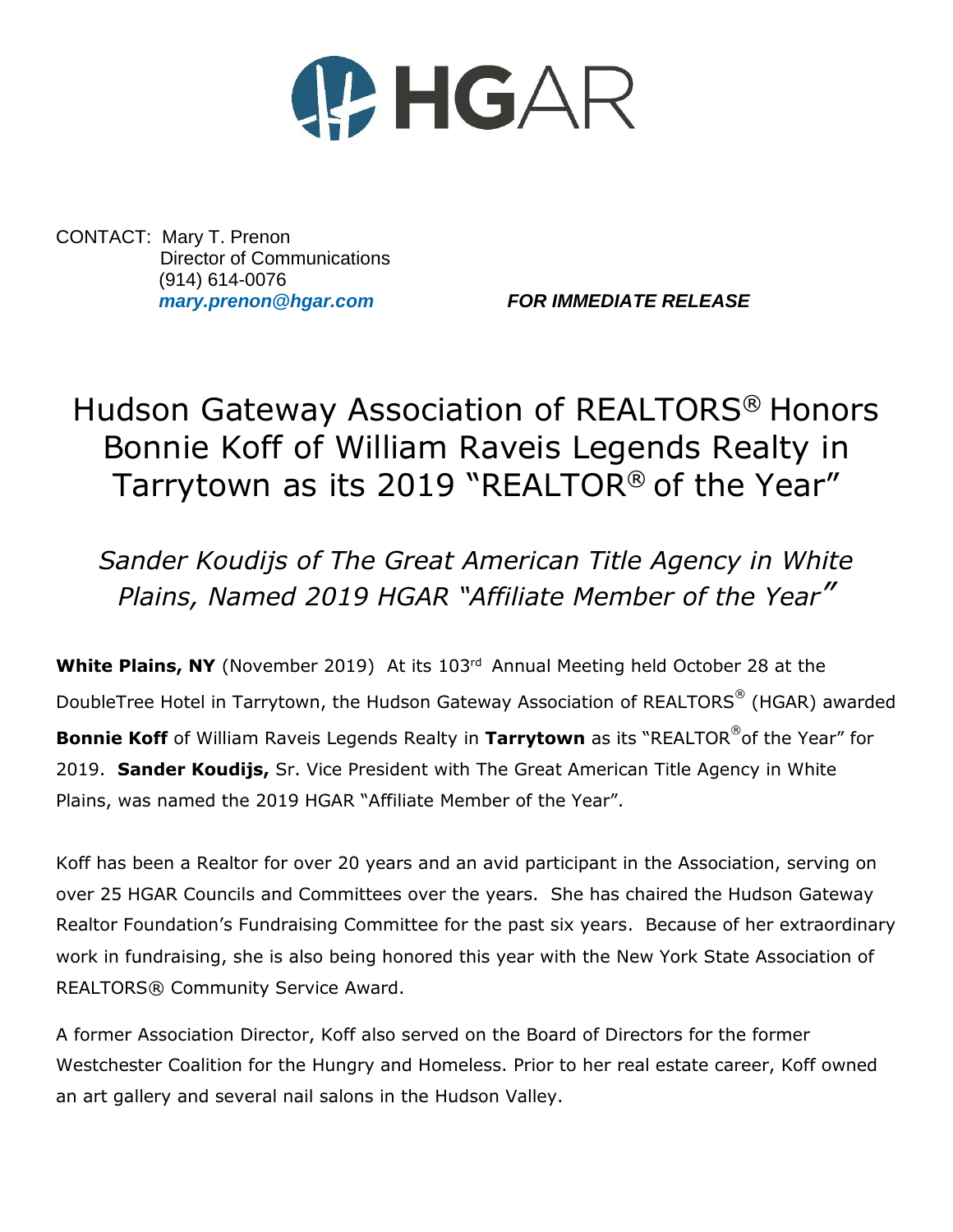

CONTACT: Mary T. Prenon Director of Communications (914) 614-0076

*[mary.prenon@hgar.com](mailto:mary.prenon@hgar.com) FOR IMMEDIATE RELEASE*

## Hudson Gateway Association of REALTORS® Honors Bonnie Koff of William Raveis Legends Realty in Tarrytown as its 2019 "REALTOR® of the Year"

## *Sander Koudijs of The Great American Title Agency in White Plains, Named 2019 HGAR "Affiliate Member of the Year"*

White Plains, NY (November 2019) At its 103<sup>rd</sup> Annual Meeting held October 28 at the DoubleTree Hotel in Tarrytown, the Hudson Gateway Association of REALTORS<sup>®</sup> (HGAR) awarded **Bonnie Koff** of William Raveis Legends Realty in Tarrytown as its "REALTOR<sup>®</sup>of the Year" for 2019. **Sander Koudijs,** Sr. Vice President with The Great American Title Agency in White Plains, was named the 2019 HGAR "Affiliate Member of the Year".

Koff has been a Realtor for over 20 years and an avid participant in the Association, serving on over 25 HGAR Councils and Committees over the years. She has chaired the Hudson Gateway Realtor Foundation's Fundraising Committee for the past six years. Because of her extraordinary work in fundraising, she is also being honored this year with the New York State Association of REALTORS® Community Service Award.

A former Association Director, Koff also served on the Board of Directors for the former Westchester Coalition for the Hungry and Homeless. Prior to her real estate career, Koff owned an art gallery and several nail salons in the Hudson Valley.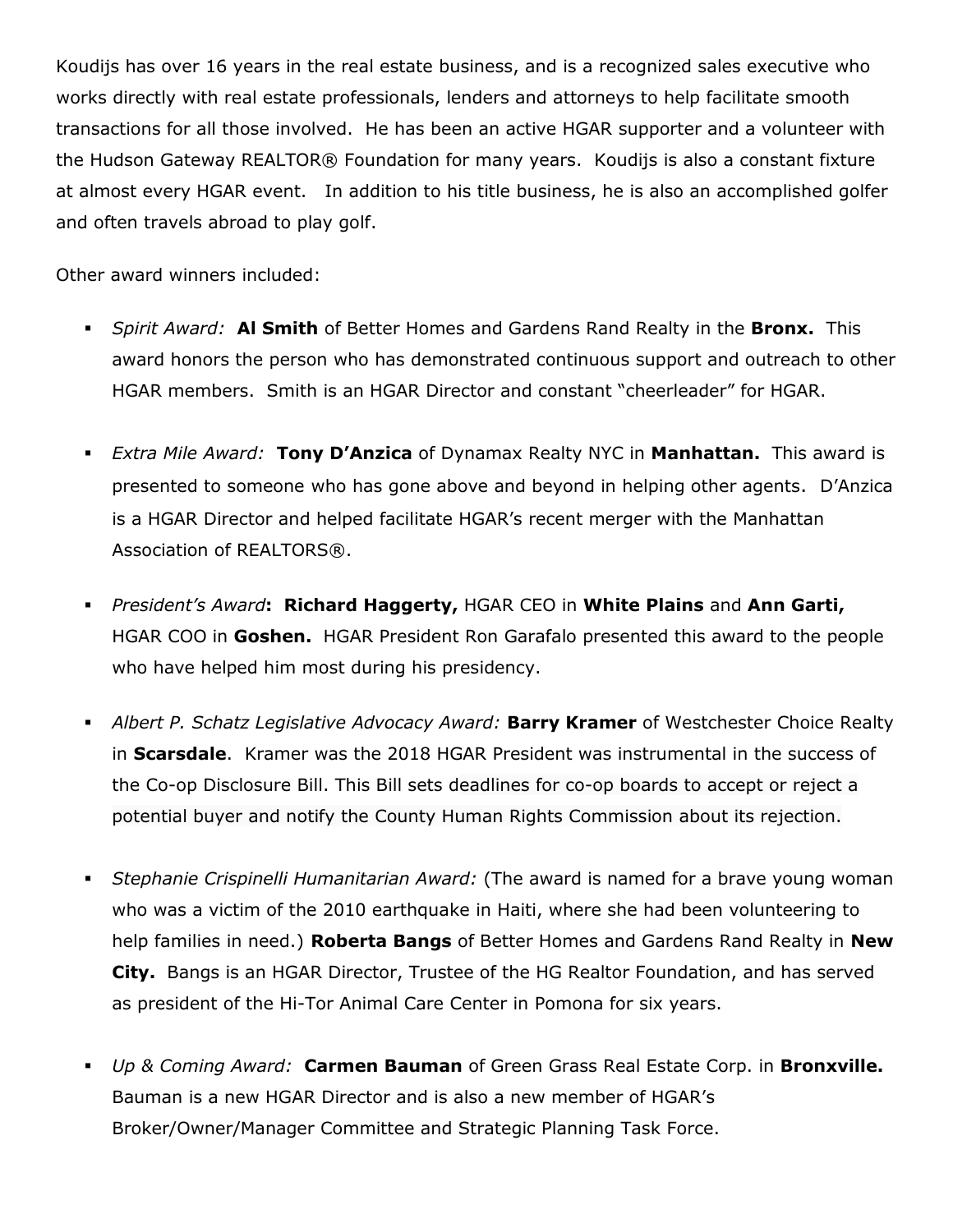Koudijs has over 16 years in the real estate business, and is a recognized sales executive who works directly with real estate professionals, lenders and attorneys to help facilitate smooth transactions for all those involved. He has been an active HGAR supporter and a volunteer with the Hudson Gateway REALTOR® Foundation for many years. Koudijs is also a constant fixture at almost every HGAR event. In addition to his title business, he is also an accomplished golfer and often travels abroad to play golf.

Other award winners included:

- *Spirit Award:* **Al Smith** of Better Homes and Gardens Rand Realty in the **Bronx.** This award honors the person who has demonstrated continuous support and outreach to other HGAR members. Smith is an HGAR Director and constant "cheerleader" for HGAR.
- *Extra Mile Award:* **Tony D'Anzica** of Dynamax Realty NYC in **Manhattan.** This award is presented to someone who has gone above and beyond in helping other agents. D'Anzica is a HGAR Director and helped facilitate HGAR's recent merger with the Manhattan Association of REALTORS®.
- *President's Award***: Richard Haggerty,** HGAR CEO in **White Plains** and **Ann Garti,**  HGAR COO in **Goshen.** HGAR President Ron Garafalo presented this award to the people who have helped him most during his presidency.
- *Albert P. Schatz Legislative Advocacy Award:* **Barry Kramer** of Westchester Choice Realty in **Scarsdale**. Kramer was the 2018 HGAR President was instrumental in the success of the Co-op Disclosure Bill. This Bill sets deadlines for co-op boards to accept or reject a potential buyer and notify the County Human Rights Commission about its rejection.
- *Stephanie Crispinelli Humanitarian Award:* (The award is named for a brave young woman who was a victim of the 2010 earthquake in Haiti, where she had been volunteering to help families in need.) **Roberta Bangs** of Better Homes and Gardens Rand Realty in **New City.** Bangs is an HGAR Director, Trustee of the HG Realtor Foundation, and has served as president of the Hi-Tor Animal Care Center in Pomona for six years.
- *Up & Coming Award:* **Carmen Bauman** of Green Grass Real Estate Corp. in **Bronxville.** Bauman is a new HGAR Director and is also a new member of HGAR's Broker/Owner/Manager Committee and Strategic Planning Task Force.